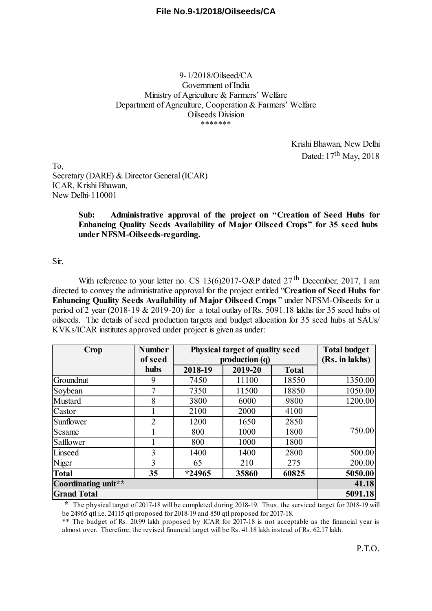### 9-1/2018/Oilseed/CA Government of India Ministry of Agriculture & Farmers' Welfare Department of Agriculture, Cooperation & Farmers' Welfare Oilseeds Division \*\*\*\*\*\*\*

Krishi Bhawan, New Delhi Dated: 17<sup>th</sup> May, 2018

To, Secretary (DARE) & Director General (ICAR) ICAR, Krishi Bhawan, New Delhi-110001

### **Sub: Administrative approval of the project on "Creation of Seed Hubs for Enhancing Quality Seeds Availability of Major Oilseed Crops" for 35 seed hubs under NFSM-Oilseeds-regarding.**

### Sir,

With reference to your letter no. CS 13(6)2017-O&P dated  $27<sup>th</sup>$  December, 2017, I am directed to convey the administrative approval for the project entitled "**Creation of Seed Hubs for Enhancing Quality Seeds Availability of Major Oilseed Crops** " under NFSM-Oilseeds for a period of 2 year (2018-19 & 2019-20) for a total outlay of Rs. 5091.18 lakhs for 35 seed hubs of oilseeds. The details of seed production targets and budget allocation for 35 seed hubs at SAUs/ KVKs/ICAR institutes approved under project is given as under:

| Crop                | <b>Number</b> | Physical target of quality seed |         |              | <b>Total budget</b> |
|---------------------|---------------|---------------------------------|---------|--------------|---------------------|
|                     | of seed       | production (q)                  |         |              | (Rs. in lakhs)      |
|                     | hubs          | 2018-19                         | 2019-20 | <b>Total</b> |                     |
| Groundnut           | 9             | 7450                            | 11100   | 18550        | 1350.00             |
| Soybean             | 7             | 7350                            | 11500   | 18850        | 1050.00             |
| <b>Mustard</b>      | 8             | 3800                            | 6000    | 9800         | 1200.00             |
| Castor              |               | 2100                            | 2000    | 4100         |                     |
| Sunflower           | 2             | 1200                            | 1650    | 2850         |                     |
| Sesame              |               | 800                             | 1000    | 1800         | 750.00              |
| Safflower           |               | 800                             | 1000    | 1800         |                     |
| Linseed             | 3             | 1400                            | 1400    | 2800         | 500.00              |
| Niger               | 3             | 65                              | 210     | 275          | 200.00              |
| <b>Total</b>        | 35            | *24965                          | 35860   | 60825        | 5050.00             |
| Coordinating unit** |               |                                 |         |              | 41.18               |
| <b>Grand Total</b>  |               |                                 |         |              | 5091.18             |

**\*** The physical target of 2017-18 will be completed during 2018-19. Thus, the serviced target for 2018-19 will be 24965 at i.e. 24115 at l proposed for 2018-19 and 850 at l proposed for 2017-18.

\*\* The budget of Rs. 20.99 lakh proposed by ICAR for 2017-18 is not acceptable as the financial year is almost over. Therefore, the revised financial target will be Rs. 41.18 lakh instead of Rs. 62.17 lakh.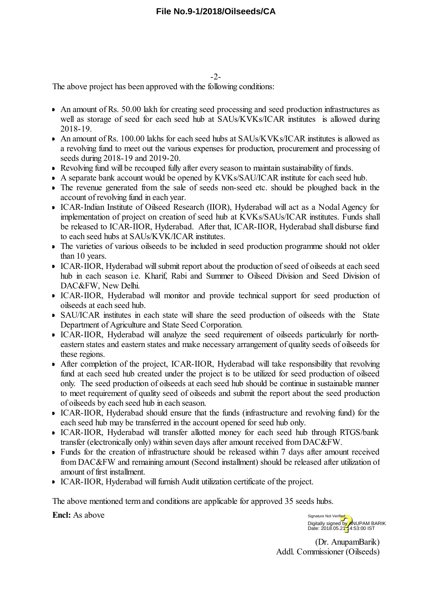The above project has been approved with the following conditions:

- An amount of Rs. 50.00 lakh for creating seed processing and seed production infrastructures as well as storage of seed for each seed hub at SAUs/KVKs/ICAR institutes is allowed during 2018-19.
- An amount of Rs. 100.00 lakhs for each seed hubs at SAUs/KVKs/ICAR institutes is allowed as a revolving fund to meet out the various expenses for production, procurement and processing of seeds during 2018-19 and 2019-20.
- Revolving fund will be recouped fully after every season to maintain sustainability of funds.
- A separate bank account would be opened by KVKs/SAU/ICAR institute for each seed hub.
- The revenue generated from the sale of seeds non-seed etc. should be ploughed back in the account of revolving fund in each year.
- ICAR-Indian Institute of Oilseed Research (IIOR), Hyderabad will act as a Nodal Agency for implementation of project on creation of seed hub at KVKs/SAUs/ICAR institutes. Funds shall be released to ICAR-IIOR, Hyderabad. After that, ICAR-IIOR, Hyderabad shall disburse fund to each seed hubs at SAUs/KVK/ICAR institutes.
- The varieties of various oilseeds to be included in seed production programme should not older than 10 years.
- ICAR-IIOR, Hyderabad will submit report about the production of seed of oilseeds at each seed hub in each season i.e. Kharif, Rabi and Summer to Oilseed Division and Seed Division of DAC&FW, New Delhi.
- ICAR-IIOR, Hyderabad will monitor and provide technical support for seed production of oilseeds at each seed hub.
- SAU/ICAR institutes in each state will share the seed production of oilseeds with the State Department of Agriculture and State Seed Corporation.
- ICAR-IIOR, Hyderabad will analyze the seed requirement of oilseeds particularly for northeastern states and eastern states and make necessary arrangement of quality seeds of oilseeds for these regions.
- After completion of the project, ICAR-IIOR, Hyderabad will take responsibility that revolving fund at each seed hub created under the project is to be utilized for seed production of oilseed only. The seed production of oilseeds at each seed hub should be continue in sustainable manner to meet requirement of quality seed of oilseeds and submit the report about the seed production of oilseeds by each seed hub in each season.
- ICAR-IIOR, Hyderabad should ensure that the funds (infrastructure and revolving fund) for the each seed hub may be transferred in the account opened for seed hub only.
- ICAR-IIOR, Hyderabad will transfer allotted money for each seed hub through RTGS/bank transfer (electronically only) within seven days after amount received from DAC&FW.
- Funds for the creation of infrastructure should be released within 7 days after amount received from DAC&FW and remaining amount (Second installment) should be released after utilization of amount of first installment.
- ICAR-IIOR, Hyderabad will furnish Audit utilization certificate of the project.

The above mentioned term and conditions are applicable for approved 35 seeds hubs.

**Encl:** As above

Digitally signed by ANUPAM BARIK<br>Date: 2018.05.21 4:53:00 IST Signature Not Verified

(Dr. AnupamBarik) Addl. Commissioner (Oilseeds)

-2-